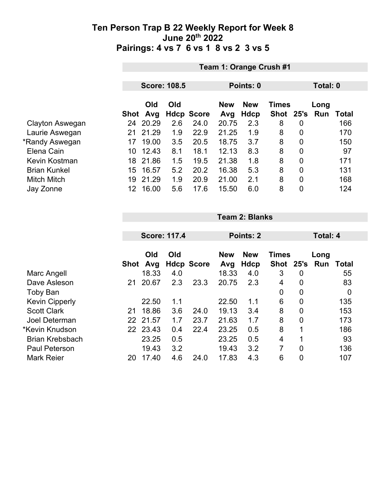|                     |      | Team 1: Orange Crush #1 |                     |                   |                   |                    |                           |                |             |       |  |  |
|---------------------|------|-------------------------|---------------------|-------------------|-------------------|--------------------|---------------------------|----------------|-------------|-------|--|--|
|                     |      |                         | <b>Score: 108.5</b> |                   | Points: 0         |                    |                           |                | Total: 0    |       |  |  |
|                     |      |                         |                     |                   |                   |                    |                           |                |             |       |  |  |
|                     | Shot | Old<br>Avg              | Old                 | <b>Hdcp Score</b> | <b>New</b><br>Avg | <b>New</b><br>Hdcp | <b>Times</b><br>Shot 25's |                | Long<br>Run | Total |  |  |
| Clayton Aswegan     | 24   | 20.29                   | 2.6                 | 24.0              | 20.75             | 2.3                | 8                         | 0              |             | 166   |  |  |
| Laurie Aswegan      | 21   | 21.29                   | 1.9                 | 22.9              | 21.25             | 1.9                | 8                         | $\overline{0}$ |             | 170   |  |  |
| *Randy Aswegan      | 17   | 19.00                   | 3.5                 | 20.5              | 18.75             | 3.7                | 8                         | 0              |             | 150   |  |  |
| Elena Cain          | 10   | 12.43                   | 8.1                 | 18.1              | 12.13             | 8.3                | 8                         | $\overline{0}$ |             | 97    |  |  |
| Kevin Kostman       | 18   | 21.86                   | 1.5                 | 19.5              | 21.38             | 1.8                | 8                         | $\overline{0}$ |             | 171   |  |  |
| <b>Brian Kunkel</b> | 15   | 16.57                   | 5.2                 | 20.2              | 16.38             | 5.3                | 8                         | $\overline{0}$ |             | 131   |  |  |
| <b>Mitch Mitch</b>  | 19   | 21.29                   | 1.9                 | 20.9              | 21.00             | 2.1                | 8                         | $\overline{0}$ |             | 168   |  |  |
| Jay Zonne           | 12.  | 16.00                   | 5.6                 | 17.6              | 15.50             | 6.0                | 8                         | $\overline{0}$ |             | 124   |  |  |

|                        |      |            | <b>Score: 117.4</b> |                   |                   | Points: 2                 |                      |      | Total: 4    |       |  |
|------------------------|------|------------|---------------------|-------------------|-------------------|---------------------------|----------------------|------|-------------|-------|--|
|                        | Shot | Old<br>Avg | Old                 | <b>Hdcp Score</b> | <b>New</b><br>Avg | <b>New</b><br><b>Hdcp</b> | <b>Times</b><br>Shot | 25's | Long<br>Run | Total |  |
| Marc Angell            |      | 18.33      | 4.0                 |                   | 18.33             | 4.0                       | 3                    | 0    |             | 55    |  |
| Dave Asleson           | 21   | 20.67      | 2.3                 | 23.3              | 20.75             | 2.3                       | 4                    | 0    |             | 83    |  |
| <b>Toby Ban</b>        |      |            |                     |                   |                   |                           | 0                    | 0    |             | 0     |  |
| <b>Kevin Cipperly</b>  |      | 22.50      | 1.1                 |                   | 22.50             | 1.1                       | 6                    | 0    |             | 135   |  |
| <b>Scott Clark</b>     | 21   | 18.86      | 3.6                 | 24.0              | 19.13             | 3.4                       | 8                    | 0    |             | 153   |  |
| Joel Determan          |      | 22 21.57   | 1.7                 | 23.7              | 21.63             | 1.7                       | 8                    | 0    |             | 173   |  |
| *Kevin Knudson         |      | 22 23.43   | 0.4                 | 22.4              | 23.25             | 0.5                       | 8                    | 1    |             | 186   |  |
| <b>Brian Krebsbach</b> |      | 23.25      | 0.5                 |                   | 23.25             | 0.5                       | 4                    | 1    |             | 93    |  |
| <b>Paul Peterson</b>   |      | 19.43      | 3.2                 |                   | 19.43             | 3.2                       | 7                    | 0    |             | 136   |  |
| <b>Mark Reier</b>      | 20   | 17.40      | 4.6                 | 24.0              | 17.83             | 4.3                       | 6                    | 0    |             | 107   |  |

**Team 2: Blanks**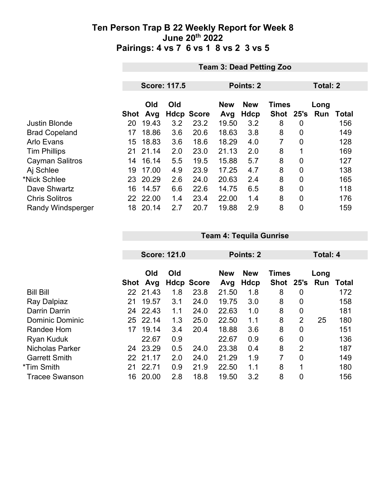|                          |             | <b>Team 3: Dead Petting Zoo</b> |     |                   |                   |                    |                           |                |                    |       |  |
|--------------------------|-------------|---------------------------------|-----|-------------------|-------------------|--------------------|---------------------------|----------------|--------------------|-------|--|
|                          |             |                                 |     |                   |                   |                    |                           |                |                    |       |  |
|                          |             | <b>Score: 117.5</b>             |     |                   | Points: 2         |                    |                           |                | <b>Total: 2</b>    |       |  |
|                          | <b>Shot</b> | Old<br>Avg                      | Old | <b>Hdcp Score</b> | <b>New</b><br>Avg | <b>New</b><br>Hdcp | <b>Times</b><br>Shot 25's |                | Long<br><b>Run</b> | Total |  |
| <b>Justin Blonde</b>     | 20          | 19.43                           | 3.2 | 23.2              | 19.50             | 3.2                | 8                         | 0              |                    | 156   |  |
| <b>Brad Copeland</b>     | 17          | 18.86                           | 3.6 | 20.6              | 18.63             | 3.8                | 8                         | $\overline{0}$ |                    | 149   |  |
| <b>Arlo Evans</b>        | 15          | 18.83                           | 3.6 | 18.6              | 18.29             | 4.0                | 7                         | 0              |                    | 128   |  |
| <b>Tim Phillips</b>      | 21          | 21.14                           | 2.0 | 23.0              | 21.13             | 2.0                | 8                         |                |                    | 169   |  |
| Cayman Salitros          | 14          | 16.14                           | 5.5 | 19.5              | 15.88             | 5.7                | 8                         | $\overline{0}$ |                    | 127   |  |
| Aj Schlee                | 19          | 17.00                           | 4.9 | 23.9              | 17.25             | 4.7                | 8                         | 0              |                    | 138   |  |
| *Nick Schlee             |             | 23 20.29                        | 2.6 | 24.0              | 20.63             | 2.4                | 8                         | 0              |                    | 165   |  |
| Dave Shwartz             | 16          | 14.57                           | 6.6 | 22.6              | 14.75             | 6.5                | 8                         | $\overline{0}$ |                    | 118   |  |
| <b>Chris Solitros</b>    |             | 22 22.00                        | 1.4 | 23.4              | 22.00             | 1.4                | 8                         | $\mathbf 0$    |                    | 176   |  |
| <b>Randy Windsperger</b> | 18          | 20.14                           | 2.7 | 20.7              | 19.88             | 2.9                | 8                         | 0              |                    | 159   |  |

|                        |      |          | <b>Score: 121.0</b> |                   |            | Points: 2  |              |                | Total: 4 |       |  |
|------------------------|------|----------|---------------------|-------------------|------------|------------|--------------|----------------|----------|-------|--|
|                        |      |          |                     |                   |            |            |              |                |          |       |  |
|                        |      | Old      | Old                 |                   | <b>New</b> | <b>New</b> | <b>Times</b> |                | Long     |       |  |
|                        | Shot | Avg      |                     | <b>Hdcp Score</b> | Avg        | Hdcp       | Shot         |                | 25's Run | Total |  |
| <b>Bill Bill</b>       |      | 22 21.43 | 1.8                 | 23.8              | 21.50      | 1.8        | 8            | 0              |          | 172   |  |
| Ray Dalpiaz            | 21   | 19.57    | 3.1                 | 24.0              | 19.75      | 3.0        | 8            | 0              |          | 158   |  |
| Darrin Darrin          | 24   | 22.43    | 1.1                 | 24.0              | 22.63      | 1.0        | 8            | 0              |          | 181   |  |
| <b>Dominic Dominic</b> |      | 25 22.14 | 1.3                 | 25.0              | 22.50      | 1.1        | 8            | $\overline{2}$ | 25       | 180   |  |
| Randee Hom             | 17   | 19.14    | 3.4                 | 20.4              | 18.88      | 3.6        | 8            | 0              |          | 151   |  |
| Ryan Kuduk             |      | 22.67    | 0.9                 |                   | 22.67      | 0.9        | 6            | 0              |          | 136   |  |
| Nicholas Parker        | 24   | 23.29    | 0.5                 | 24.0              | 23.38      | 0.4        | 8            | $\overline{2}$ |          | 187   |  |
| <b>Garrett Smith</b>   | 22   | 21.17    | 2.0                 | 24.0              | 21.29      | 1.9        | 7            | 0              |          | 149   |  |
| *Tim Smith             | 21   | 22.71    | 0.9                 | 21.9              | 22.50      | 1.1        | 8            | 1              |          | 180   |  |
| <b>Tracee Swanson</b>  | 16   | 20.00    | 2.8                 | 18.8              | 19.50      | 3.2        | 8            | 0              |          | 156   |  |

**Team 4: Tequila Gunrise**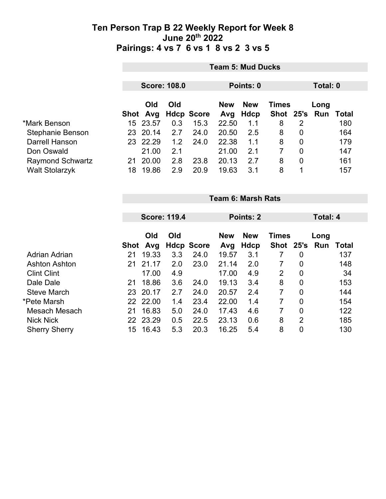|                         | <b>Team 5: Mud Ducks</b> |            |     |                   |            |            |              |                |               |       |  |
|-------------------------|--------------------------|------------|-----|-------------------|------------|------------|--------------|----------------|---------------|-------|--|
|                         | <b>Score: 108.0</b>      |            |     |                   | Points: 0  |            |              |                | Total: 0      |       |  |
|                         |                          | <b>Old</b> | Old |                   | <b>New</b> | <b>New</b> | <b>Times</b> |                | Long          |       |  |
|                         |                          | Shot Avg   |     | <b>Hdcp Score</b> | Avg        | Hdcp       |              |                | Shot 25's Run | Total |  |
| *Mark Benson            | 15                       | 23.57      | 0.3 | 15.3              | 22.50      | 1.1        | 8            | 2              |               | 180   |  |
| Stephanie Benson        |                          | 23 20.14   | 2.7 | 24.0              | 20.50      | 2.5        | 8            | 0              |               | 164   |  |
| Darrell Hanson          |                          | 23 22.29   | 1.2 | 24.0              | 22.38      | 1.1        | 8            | 0              |               | 179   |  |
| Don Oswald              |                          | 21.00      | 2.1 |                   | 21.00      | 2.1        | 7            | $\overline{0}$ |               | 147   |  |
| <b>Raymond Schwartz</b> | 21                       | 20.00      | 2.8 | 23.8              | 20.13      | 2.7        | 8            | 0              |               | 161   |  |
| <b>Walt Stolarzyk</b>   | 18                       | 19.86      | 2.9 | 20.9              | 19.63      | 3.1        | 8            | 1              |               | 157   |  |

|                      |             | <b>Team 6: Marsh Rats</b> |     |                   |                                          |           |           |                |     |                 |  |  |
|----------------------|-------------|---------------------------|-----|-------------------|------------------------------------------|-----------|-----------|----------------|-----|-----------------|--|--|
|                      |             | <b>Score: 119.4</b>       |     |                   |                                          | Points: 2 |           |                |     | <b>Total: 4</b> |  |  |
|                      |             | Old<br>Old                |     |                   | <b>New</b><br><b>New</b><br><b>Times</b> |           |           | Long           |     |                 |  |  |
|                      | <b>Shot</b> | Avg                       |     | <b>Hdcp Score</b> | Avg                                      | Hdcp      | Shot 25's |                | Run | Total           |  |  |
| <b>Adrian Adrian</b> | 21          | 19.33                     | 3.3 | 24.0              | 19.57                                    | 3.1       | 7         | 0              |     | 137             |  |  |
| <b>Ashton Ashton</b> | 21          | 21.17                     | 2.0 | 23.0              | 21.14                                    | 2.0       | 7         | 0              |     | 148             |  |  |
| <b>Clint Clint</b>   |             | 17.00                     | 4.9 |                   | 17.00                                    | 4.9       | 2         | 0              |     | 34              |  |  |
| Dale Dale            | 21          | 18.86                     | 3.6 | 24.0              | 19.13                                    | 3.4       | 8         | 0              |     | 153             |  |  |
| <b>Steve March</b>   | 23          | 20.17                     | 2.7 | 24.0              | 20.57                                    | 2.4       | 7         | 0              |     | 144             |  |  |
| *Pete Marsh          |             | 22 22.00                  | 1.4 | 23.4              | 22.00                                    | 1.4       | 7         | 0              |     | 154             |  |  |
| Mesach Mesach        | 21          | 16.83                     | 5.0 | 24.0              | 17.43                                    | 4.6       | 7         | $\overline{0}$ |     | 122             |  |  |
| <b>Nick Nick</b>     | 22          | 23.29                     | 0.5 | 22.5              | 23.13                                    | 0.6       | 8         | $\overline{2}$ |     | 185             |  |  |
| <b>Sherry Sherry</b> | 15          | 16.43                     | 5.3 | 20.3              | 16.25                                    | 5.4       | 8         | 0              |     | 130             |  |  |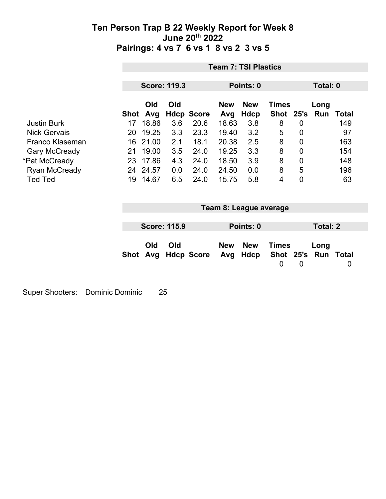|                      |          | <b>Team 7: TSI Plastics</b> |                     |                   |                   |                           |                             |                 |                             |       |
|----------------------|----------|-----------------------------|---------------------|-------------------|-------------------|---------------------------|-----------------------------|-----------------|-----------------------------|-------|
|                      |          |                             | <b>Score: 119.3</b> |                   | Points: 0         |                           |                             | Total: 0        |                             |       |
|                      | Shot Avg | Old                         | Old                 | <b>Hdcp Score</b> | <b>New</b><br>Avg | <b>New</b><br><b>Hdcp</b> | <b>Times</b><br><b>Shot</b> |                 | Long<br>25's Run            | Total |
| <b>Justin Burk</b>   | 17       | 18.86                       | 3.6                 | 20.6              | 18.63             | 3.8                       | 8                           | $\mathbf 0$     |                             | 149   |
| <b>Nick Gervais</b>  | 20       | 19.25                       | 3.3                 | 23.3              | 19.40             | 3.2                       | 5                           | 0               |                             | 97    |
| Franco Klaseman      | 16       | 21.00                       | 2.1                 | 18.1              | 20.38             | 2.5                       | 8                           | 0               |                             | 163   |
| <b>Gary McCready</b> | 21       | 19.00                       | 3.5                 | 24.0              | 19.25             | 3.3                       | 8                           | $\mathbf 0$     |                             | 154   |
| *Pat McCready        | 23       | 17.86                       | 4.3                 | 24.0              | 18.50             | 3.9                       | 8                           | $\overline{0}$  |                             | 148   |
| <b>Ryan McCready</b> |          | 24 24.57                    | 0.0                 | 24.0              | 24.50             | 0.0                       | 8                           | 5               |                             | 196   |
| <b>Ted Ted</b>       | 19       | 14.67                       | 6.5                 | 24.0              | 15.75             | 5.8                       | 4                           | $\mathbf 0$     |                             | 63    |
|                      |          |                             |                     |                   |                   | Team 8: League average    |                             |                 |                             |       |
|                      |          |                             | <b>Score: 115.9</b> |                   |                   | Points: 0                 |                             | <b>Total: 2</b> |                             |       |
|                      | Shot     | Old<br>Avg                  | Old                 | <b>Hdcp Score</b> | <b>New</b><br>Avg | <b>New</b><br>Hdcp        | <b>Times</b><br>$\mathbf 0$ | 0               | Long<br>Shot 25's Run Total | 0     |

Super Shooters: Dominic Dominic 25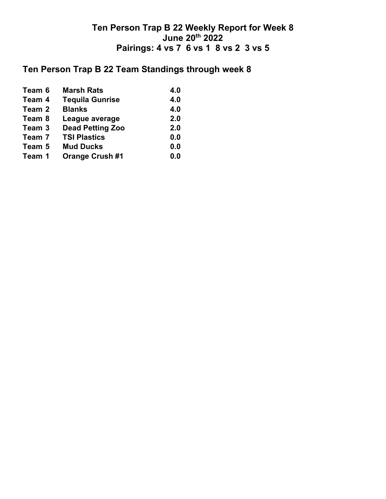# **Ten Person Trap B 22 Team Standings through week 8**

| <b>Marsh Rats</b>       | 4.0                                                                          |
|-------------------------|------------------------------------------------------------------------------|
| <b>Tequila Gunrise</b>  | 4.0                                                                          |
| <b>Blanks</b>           | 4.0                                                                          |
| League average          | 2.0                                                                          |
| <b>Dead Petting Zoo</b> | 2.0                                                                          |
| <b>TSI Plastics</b>     | 0.0                                                                          |
| <b>Mud Ducks</b>        | 0.0                                                                          |
| <b>Orange Crush #1</b>  | 0.0                                                                          |
|                         | Team 6<br>Team 4<br>Team 2<br>Team 8<br>Team 3<br>Team 7<br>Team 5<br>Team 1 |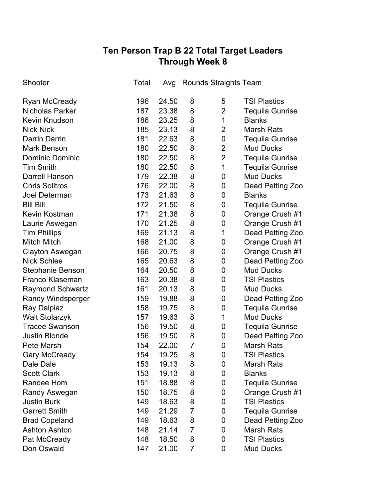# **Ten Person Trap B 22 Total Target Leaders Through Week 8**

| Shooter                  | Total |       | Avg Rounds Straights Team |                |                        |
|--------------------------|-------|-------|---------------------------|----------------|------------------------|
| <b>Ryan McCready</b>     | 196   | 24.50 | 8                         | 5              | <b>TSI Plastics</b>    |
| <b>Nicholas Parker</b>   | 187   | 23.38 | 8                         | $\overline{2}$ | <b>Tequila Gunrise</b> |
| <b>Kevin Knudson</b>     | 186   | 23.25 | 8                         | 1              | <b>Blanks</b>          |
| <b>Nick Nick</b>         | 185   | 23.13 | 8                         | $\overline{2}$ | <b>Marsh Rats</b>      |
| <b>Darrin Darrin</b>     | 181   | 22.63 | 8                         | 0              | <b>Tequila Gunrise</b> |
| <b>Mark Benson</b>       | 180   | 22.50 | 8                         | $\overline{2}$ | <b>Mud Ducks</b>       |
| <b>Dominic Dominic</b>   | 180   | 22.50 | 8                         | $\overline{2}$ | <b>Tequila Gunrise</b> |
| <b>Tim Smith</b>         | 180   | 22.50 | 8                         | 1              | <b>Tequila Gunrise</b> |
| <b>Darrell Hanson</b>    | 179   | 22.38 | 8                         | 0              | <b>Mud Ducks</b>       |
| <b>Chris Solitros</b>    | 176   | 22.00 | 8                         | 0              | Dead Petting Zoo       |
| Joel Determan            | 173   | 21.63 | 8                         | 0              | <b>Blanks</b>          |
| <b>Bill Bill</b>         | 172   | 21.50 | 8                         | 0              | <b>Tequila Gunrise</b> |
| <b>Kevin Kostman</b>     | 171   | 21.38 | 8                         | 0              | Orange Crush #1        |
| Laurie Aswegan           | 170   | 21.25 | 8                         | 0              | Orange Crush #1        |
| <b>Tim Phillips</b>      | 169   | 21.13 | 8                         | 1              | Dead Petting Zoo       |
| <b>Mitch Mitch</b>       | 168   | 21.00 | 8                         | 0              | Orange Crush #1        |
| <b>Clayton Aswegan</b>   | 166   | 20.75 | 8                         | 0              | Orange Crush #1        |
| <b>Nick Schlee</b>       | 165   | 20.63 | 8                         | 0              | Dead Petting Zoo       |
| <b>Stephanie Benson</b>  | 164   | 20.50 | 8                         | 0              | <b>Mud Ducks</b>       |
| <b>Franco Klaseman</b>   | 163   | 20.38 | 8                         | 0              | <b>TSI Plastics</b>    |
| <b>Raymond Schwartz</b>  | 161   | 20.13 | 8                         | 0              | <b>Mud Ducks</b>       |
| <b>Randy Windsperger</b> | 159   | 19.88 | 8                         | 0              | Dead Petting Zoo       |
| Ray Dalpiaz              | 158   | 19.75 | 8                         | 0              | <b>Tequila Gunrise</b> |
| <b>Walt Stolarzyk</b>    | 157   | 19.63 | 8                         | 1              | <b>Mud Ducks</b>       |
| <b>Tracee Swanson</b>    | 156   | 19.50 | 8                         | 0              | <b>Tequila Gunrise</b> |
| <b>Justin Blonde</b>     | 156   | 19.50 | 8                         | 0              | Dead Petting Zoo       |
| Pete Marsh               | 154   | 22.00 | $\overline{7}$            | 0              | <b>Marsh Rats</b>      |
| <b>Gary McCready</b>     | 154   | 19.25 | 8                         | 0              | <b>TSI Plastics</b>    |
| Dale Dale                | 153   | 19.13 | 8                         | 0              | Marsh Rats             |
| <b>Scott Clark</b>       | 153   | 19.13 | 8                         | 0              | <b>Blanks</b>          |
| Randee Hom               | 151   | 18.88 | 8                         | 0              | <b>Tequila Gunrise</b> |
| Randy Aswegan            | 150   | 18.75 | 8                         | 0              | Orange Crush #1        |
| <b>Justin Burk</b>       | 149   | 18.63 | 8                         | 0              | <b>TSI Plastics</b>    |
| <b>Garrett Smith</b>     | 149   | 21.29 | 7                         | 0              | <b>Tequila Gunrise</b> |
| <b>Brad Copeland</b>     | 149   | 18.63 | 8                         | 0              | Dead Petting Zoo       |
| <b>Ashton Ashton</b>     | 148   | 21.14 | $\overline{7}$            | 0              | <b>Marsh Rats</b>      |
| Pat McCready             | 148   | 18.50 | 8                         | 0              | <b>TSI Plastics</b>    |
| Don Oswald               | 147   | 21.00 | 7                         | 0              | <b>Mud Ducks</b>       |